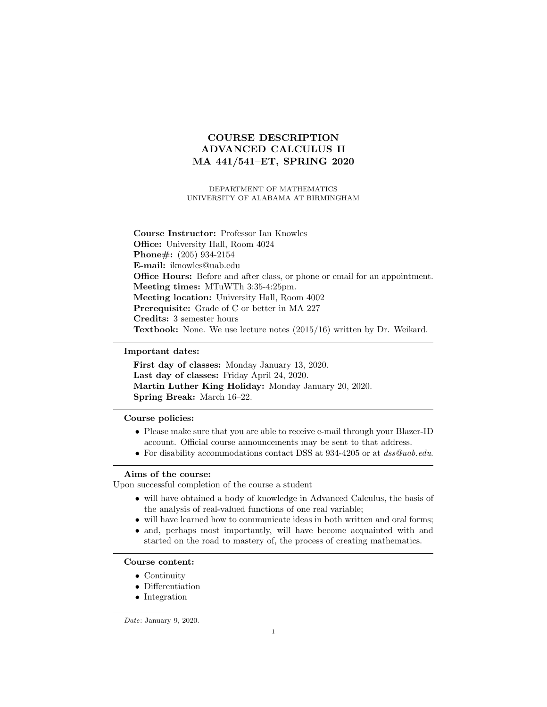# COURSE DESCRIPTION ADVANCED CALCULUS II MA 441/541–ET, SPRING 2020

DEPARTMENT OF MATHEMATICS UNIVERSITY OF ALABAMA AT BIRMINGHAM

Course Instructor: Professor Ian Knowles Office: University Hall, Room 4024 Phone#: (205) 934-2154 E-mail: iknowles@uab.edu Office Hours: Before and after class, or phone or email for an appointment. Meeting times: MTuWTh 3:35-4:25pm. Meeting location: University Hall, Room 4002 Prerequisite: Grade of C or better in MA 227 Credits: 3 semester hours Textbook: None. We use lecture notes (2015/16) written by Dr. Weikard.

### Important dates:

First day of classes: Monday January 13, 2020. Last day of classes: Friday April 24, 2020. Martin Luther King Holiday: Monday January 20, 2020. Spring Break: March 16–22.

#### Course policies:

- Please make sure that you are able to receive e-mail through your Blazer-ID account. Official course announcements may be sent to that address.
- For disability accommodations contact DSS at 934-4205 or at dss@uab.edu.

## Aims of the course:

Upon successful completion of the course a student

- will have obtained a body of knowledge in Advanced Calculus, the basis of the analysis of real-valued functions of one real variable;
- will have learned how to communicate ideas in both written and oral forms;
- and, perhaps most importantly, will have become acquainted with and started on the road to mastery of, the process of creating mathematics.

#### Course content:

- Continuity
- Differentiation
- Integration

Date: January 9, 2020.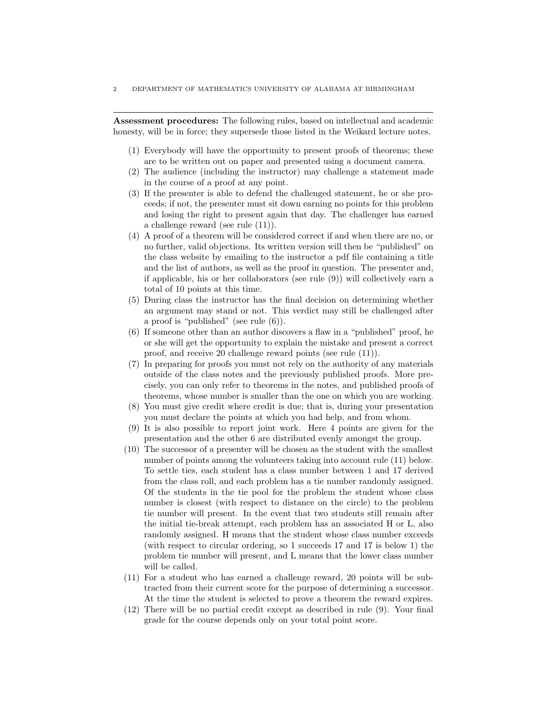Assessment procedures: The following rules, based on intellectual and academic honesty, will be in force; they supersede those listed in the Weikard lecture notes.

- (1) Everybody will have the opportunity to present proofs of theorems; these are to be written out on paper and presented using a document camera.
- (2) The audience (including the instructor) may challenge a statement made in the course of a proof at any point.
- (3) If the presenter is able to defend the challenged statement, he or she proceeds; if not, the presenter must sit down earning no points for this problem and losing the right to present again that day. The challenger has earned a challenge reward (see rule (11)).
- (4) A proof of a theorem will be considered correct if and when there are no, or no further, valid objections. Its written version will then be "published" on the class website by emailing to the instructor a pdf file containing a title and the list of authors, as well as the proof in question. The presenter and, if applicable, his or her collaborators (see rule (9)) will collectively earn a total of 10 points at this time.
- (5) During class the instructor has the final decision on determining whether an argument may stand or not. This verdict may still be challenged after a proof is "published" (see rule (6)).
- (6) If someone other than an author discovers a flaw in a "published" proof, he or she will get the opportunity to explain the mistake and present a correct proof, and receive 20 challenge reward points (see rule (11)).
- (7) In preparing for proofs you must not rely on the authority of any materials outside of the class notes and the previously published proofs. More precisely, you can only refer to theorems in the notes, and published proofs of theorems, whose number is smaller than the one on which you are working.
- (8) You must give credit where credit is due; that is, during your presentation you must declare the points at which you had help, and from whom.
- (9) It is also possible to report joint work. Here 4 points are given for the presentation and the other 6 are distributed evenly amongst the group.
- (10) The successor of a presenter will be chosen as the student with the smallest number of points among the volunteers taking into account rule (11) below. To settle ties, each student has a class number between 1 and 17 derived from the class roll, and each problem has a tie number randomly assigned. Of the students in the tie pool for the problem the student whose class number is closest (with respect to distance on the circle) to the problem tie number will present. In the event that two students still remain after the initial tie-break attempt, each problem has an associated H or L, also randomly assigned. H means that the student whose class number exceeds (with respect to circular ordering, so 1 succeeds 17 and 17 is below 1) the problem tie number will present, and L means that the lower class number will be called.
- (11) For a student who has earned a challenge reward, 20 points will be subtracted from their current score for the purpose of determining a successor. At the time the student is selected to prove a theorem the reward expires.
- (12) There will be no partial credit except as described in rule (9). Your final grade for the course depends only on your total point score.